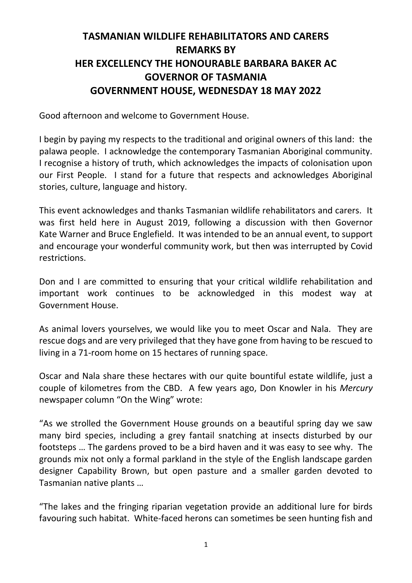## **TASMANIAN WILDLIFE REHABILITATORS AND CARERS REMARKS BY HER EXCELLENCY THE HONOURABLE BARBARA BAKER AC GOVERNOR OF TASMANIA GOVERNMENT HOUSE, WEDNESDAY 18 MAY 2022**

Good afternoon and welcome to Government House.

I begin by paying my respects to the traditional and original owners of this land: the palawa people. I acknowledge the contemporary Tasmanian Aboriginal community. I recognise a history of truth, which acknowledges the impacts of colonisation upon our First People. I stand for a future that respects and acknowledges Aboriginal stories, culture, language and history.

This event acknowledges and thanks Tasmanian wildlife rehabilitators and carers. It was first held here in August 2019, following a discussion with then Governor Kate Warner and Bruce Englefield. It was intended to be an annual event, to support and encourage your wonderful community work, but then was interrupted by Covid restrictions.

Don and I are committed to ensuring that your critical wildlife rehabilitation and important work continues to be acknowledged in this modest way at Government House.

As animal lovers yourselves, we would like you to meet Oscar and Nala. They are rescue dogs and are very privileged that they have gone from having to be rescued to living in a 71-room home on 15 hectares of running space.

Oscar and Nala share these hectares with our quite bountiful estate wildlife, just a couple of kilometres from the CBD. A few years ago, Don Knowler in his *Mercury* newspaper column "On the Wing" wrote:

"As we strolled the Government House grounds on a beautiful spring day we saw many bird species, including a grey fantail snatching at insects disturbed by our footsteps … The gardens proved to be a bird haven and it was easy to see why. The grounds mix not only a formal parkland in the style of the English landscape garden designer Capability Brown, but open pasture and a smaller garden devoted to Tasmanian native plants …

"The lakes and the fringing riparian vegetation provide an additional lure for birds favouring such habitat. White-faced herons can sometimes be seen hunting fish and